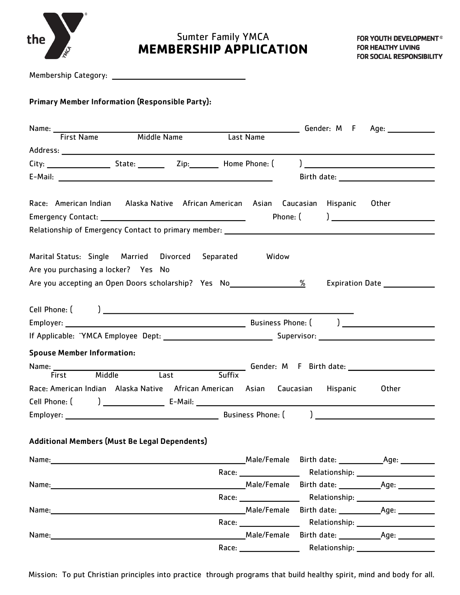

## **MEMBERSHIP APPLICATION** Sumter Family YMCA

Membership Category:

## Primary Member Information (Responsible Party):

| Name: First Name Middle Name                                                                                                                                                                                                                          |               |                                          |          | Gender: M F | Age: ______________ |
|-------------------------------------------------------------------------------------------------------------------------------------------------------------------------------------------------------------------------------------------------------|---------------|------------------------------------------|----------|-------------|---------------------|
|                                                                                                                                                                                                                                                       |               | Last Name                                |          |             |                     |
|                                                                                                                                                                                                                                                       |               |                                          |          |             |                     |
| City: _______________________State: _______________Zip: ___________Home Phone: (                                                                                                                                                                      |               |                                          |          |             |                     |
|                                                                                                                                                                                                                                                       |               |                                          |          |             |                     |
| Race: American Indian Alaska Native African American Asian Caucasian Hispanic                                                                                                                                                                         |               |                                          | Phone: ( |             | Other               |
| Relationship of Emergency Contact to primary member: ___________________________                                                                                                                                                                      |               |                                          |          |             |                     |
| Marital Status: Single Married Divorced<br>Are you purchasing a locker? Yes No<br>Are you accepting an Open Doors scholarship? Yes No_____________________________                                                                                    | Separated     |                                          | Widow    |             |                     |
|                                                                                                                                                                                                                                                       |               |                                          |          |             |                     |
| <b>Spouse Member Information:</b>                                                                                                                                                                                                                     |               |                                          |          |             |                     |
| <b>Mark Birth date:</b> 1999 Community Community Community Community Community Community Community Community Community Community Community Community Community Community Community Community Community Community Community Communit<br>Name: ________ |               |                                          |          |             |                     |
| Last<br>Middle<br>First                                                                                                                                                                                                                               | <b>Suffix</b> |                                          |          |             |                     |
| Race: American Indian Alaska Native African American Asian Caucasian Hispanic                                                                                                                                                                         |               |                                          |          |             | Other               |
|                                                                                                                                                                                                                                                       |               |                                          |          |             |                     |
| Additional Members (Must Be Legal Dependents)                                                                                                                                                                                                         |               |                                          |          |             |                     |
| Name:                                                                                                                                                                                                                                                 |               |                                          |          |             |                     |
|                                                                                                                                                                                                                                                       |               |                                          |          |             |                     |
|                                                                                                                                                                                                                                                       |               |                                          |          |             |                     |
|                                                                                                                                                                                                                                                       |               |                                          |          |             |                     |
| Name: 1000 million and the contract of the contract of the contract of the contract of the contract of the contract of the contract of the contract of the contract of the contract of the contract of the contract of the con                        |               | Male/Female                              |          |             |                     |
|                                                                                                                                                                                                                                                       |               | Race: <u>_______________________</u>     |          |             |                     |
|                                                                                                                                                                                                                                                       |               | Male/Female<br>Race: ___________________ |          |             |                     |

Mission: To put Christian principles into practice through programs that build healthy spirit, mind and body for all.